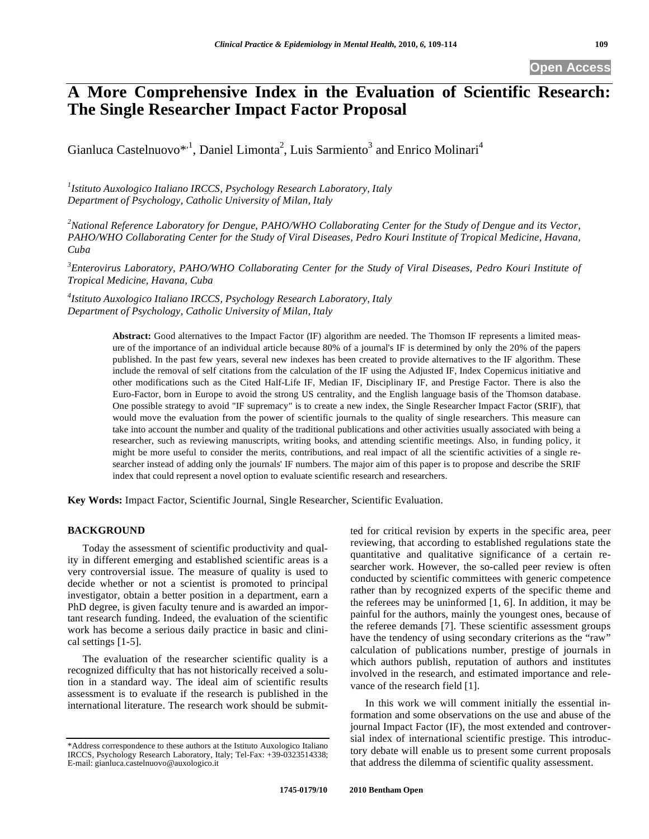## **Open Access**

# **A More Comprehensive Index in the Evaluation of Scientific Research: The Single Researcher Impact Factor Proposal**

Gianluca Castelnuovo<sup>\*,1</sup>, Daniel Limonta<sup>2</sup>, Luis Sarmiento<sup>3</sup> and Enrico Molinari<sup>4</sup>

*1 Istituto Auxologico Italiano IRCCS, Psychology Research Laboratory, Italy Department of Psychology, Catholic University of Milan, Italy* 

<sup>2</sup> National Reference Laboratory for Dengue, PAHO/WHO Collaborating Center for the Study of Dengue and its Vector, *PAHO/WHO Collaborating Center for the Study of Viral Diseases, Pedro Kouri Institute of Tropical Medicine, Havana, Cuba* 

*3 Enterovirus Laboratory, PAHO/WHO Collaborating Center for the Study of Viral Diseases, Pedro Kouri Institute of Tropical Medicine, Havana, Cuba* 

*4 Istituto Auxologico Italiano IRCCS, Psychology Research Laboratory, Italy Department of Psychology, Catholic University of Milan, Italy* 

> **Abstract:** Good alternatives to the Impact Factor (IF) algorithm are needed. The Thomson IF represents a limited measure of the importance of an individual article because 80% of a journal's IF is determined by only the 20% of the papers published. In the past few years, several new indexes has been created to provide alternatives to the IF algorithm. These include the removal of self citations from the calculation of the IF using the Adjusted IF, Index Copernicus initiative and other modifications such as the Cited Half-Life IF, Median IF, Disciplinary IF, and Prestige Factor. There is also the Euro-Factor, born in Europe to avoid the strong US centrality, and the English language basis of the Thomson database. One possible strategy to avoid "IF supremacy" is to create a new index, the Single Researcher Impact Factor (SRIF), that would move the evaluation from the power of scientific journals to the quality of single researchers. This measure can take into account the number and quality of the traditional publications and other activities usually associated with being a researcher, such as reviewing manuscripts, writing books, and attending scientific meetings. Also, in funding policy, it might be more useful to consider the merits, contributions, and real impact of all the scientific activities of a single researcher instead of adding only the journals' IF numbers. The major aim of this paper is to propose and describe the SRIF index that could represent a novel option to evaluate scientific research and researchers.

**Key Words:** Impact Factor, Scientific Journal, Single Researcher, Scientific Evaluation.

## **BACKGROUND**

Today the assessment of scientific productivity and quality in different emerging and established scientific areas is a very controversial issue. The measure of quality is used to decide whether or not a scientist is promoted to principal investigator, obtain a better position in a department, earn a PhD degree, is given faculty tenure and is awarded an important research funding. Indeed, the evaluation of the scientific work has become a serious daily practice in basic and clinical settings [1-5].

The evaluation of the researcher scientific quality is a recognized difficulty that has not historically received a solution in a standard way. The ideal aim of scientific results assessment is to evaluate if the research is published in the international literature. The research work should be submitted for critical revision by experts in the specific area, peer reviewing, that according to established regulations state the quantitative and qualitative significance of a certain researcher work. However, the so-called peer review is often conducted by scientific committees with generic competence rather than by recognized experts of the specific theme and the referees may be uninformed [1, 6]. In addition, it may be painful for the authors, mainly the youngest ones, because of the referee demands [7]. These scientific assessment groups have the tendency of using secondary criterions as the "raw" calculation of publications number, prestige of journals in which authors publish, reputation of authors and institutes involved in the research, and estimated importance and relevance of the research field [1].

In this work we will comment initially the essential information and some observations on the use and abuse of the journal Impact Factor (IF), the most extended and controversial index of international scientific prestige. This introductory debate will enable us to present some current proposals that address the dilemma of scientific quality assessment.

<sup>\*</sup>Address correspondence to these authors at the Istituto Auxologico Italiano IRCCS, Psychology Research Laboratory, Italy; Tel-Fax: +39-0323514338; E-mail: gianluca.castelnuovo@auxologico.it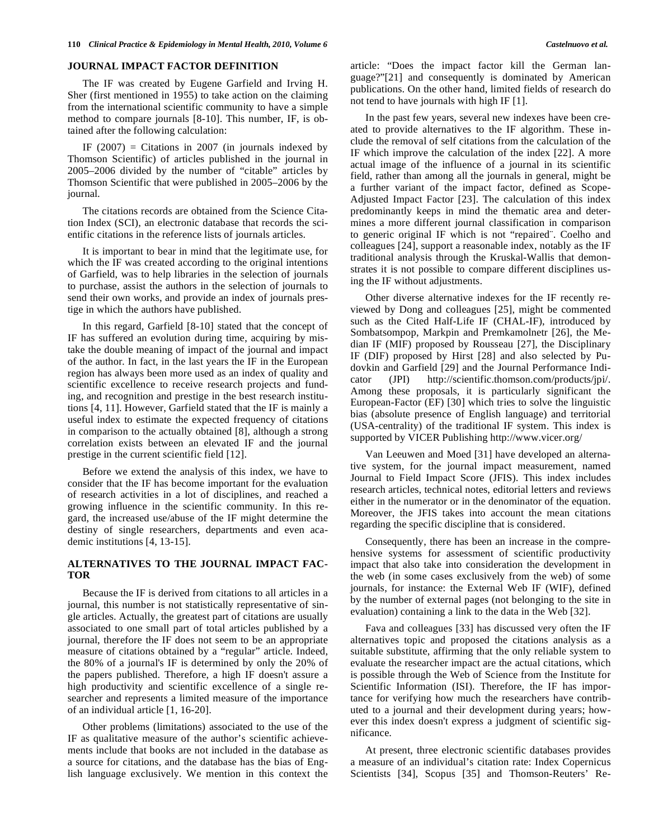## **JOURNAL IMPACT FACTOR DEFINITION**

The IF was created by Eugene Garfield and Irving H. Sher (first mentioned in 1955) to take action on the claiming from the international scientific community to have a simple method to compare journals [8-10]. This number, IF, is obtained after the following calculation:

IF  $(2007)$  = Citations in 2007 (in journals indexed by Thomson Scientific) of articles published in the journal in 2005–2006 divided by the number of "citable" articles by Thomson Scientific that were published in 2005–2006 by the journal.

The citations records are obtained from the Science Citation Index (SCI), an electronic database that records the scientific citations in the reference lists of journals articles.

It is important to bear in mind that the legitimate use, for which the IF was created according to the original intentions of Garfield, was to help libraries in the selection of journals to purchase, assist the authors in the selection of journals to send their own works, and provide an index of journals prestige in which the authors have published.

In this regard, Garfield [8-10] stated that the concept of IF has suffered an evolution during time, acquiring by mistake the double meaning of impact of the journal and impact of the author*.* In fact, in the last years the IF in the European region has always been more used as an index of quality and scientific excellence to receive research projects and funding, and recognition and prestige in the best research institutions [4, 11]. However, Garfield stated that the IF is mainly a useful index to estimate the expected frequency of citations in comparison to the actually obtained [8], although a strong correlation exists between an elevated IF and the journal prestige in the current scientific field [12].

Before we extend the analysis of this index, we have to consider that the IF has become important for the evaluation of research activities in a lot of disciplines, and reached a growing influence in the scientific community. In this regard, the increased use/abuse of the IF might determine the destiny of single researchers, departments and even academic institutions [4, 13-15].

## **ALTERNATIVES TO THE JOURNAL IMPACT FAC-TOR**

Because the IF is derived from citations to all articles in a journal, this number is not statistically representative of single articles. Actually, the greatest part of citations are usually associated to one small part of total articles published by a journal, therefore the IF does not seem to be an appropriate measure of citations obtained by a "regular" article. Indeed, the 80% of a journal's IF is determined by only the 20% of the papers published. Therefore, a high IF doesn't assure a high productivity and scientific excellence of a single researcher and represents a limited measure of the importance of an individual article [1, 16-20].

Other problems (limitations) associated to the use of the IF as qualitative measure of the author's scientific achievements include that books are not included in the database as a source for citations, and the database has the bias of English language exclusively. We mention in this context the article: "Does the impact factor kill the German language?"[21] and consequently is dominated by American publications. On the other hand, limited fields of research do not tend to have journals with high IF [1].

In the past few years, several new indexes have been created to provide alternatives to the IF algorithm. These include the removal of self citations from the calculation of the IF which improve the calculation of the index [22]. A more actual image of the influence of a journal in its scientific field, rather than among all the journals in general, might be a further variant of the impact factor, defined as Scope-Adjusted Impact Factor [23]. The calculation of this index predominantly keeps in mind the thematic area and determines a more different journal classification in comparison to generic original IF which is not "repaired¨. Coelho and colleagues [24], support a reasonable index, notably as the IF traditional analysis through the Kruskal-Wallis that demonstrates it is not possible to compare different disciplines using the IF without adjustments.

Other diverse alternative indexes for the IF recently reviewed by Dong and colleagues [25], might be commented such as the Cited Half-Life IF (CHAL-IF), introduced by Sombatsompop, Markpin and Premkamolnetr [26], the Median IF (MIF) proposed by Rousseau [27], the Disciplinary IF (DIF) proposed by Hirst [28] and also selected by Pudovkin and Garfield [29] and the Journal Performance Indicator (JPI) http://scientific.thomson.com/products/jpi/. Among these proposals, it is particularly significant the European-Factor (EF) [30] which tries to solve the linguistic bias (absolute presence of English language) and territorial (USA-centrality) of the traditional IF system. This index is supported by VICER Publishing http://www.vicer.org/

Van Leeuwen and Moed [31] have developed an alternative system, for the journal impact measurement, named Journal to Field Impact Score (JFIS). This index includes research articles, technical notes, editorial letters and reviews either in the numerator or in the denominator of the equation. Moreover, the JFIS takes into account the mean citations regarding the specific discipline that is considered.

Consequently, there has been an increase in the comprehensive systems for assessment of scientific productivity impact that also take into consideration the development in the web (in some cases exclusively from the web) of some journals, for instance: the External Web IF (WIF), defined by the number of external pages (not belonging to the site in evaluation) containing a link to the data in the Web [32].

Fava and colleagues [33] has discussed very often the IF alternatives topic and proposed the citations analysis as a suitable substitute, affirming that the only reliable system to evaluate the researcher impact are the actual citations, which is possible through the Web of Science from the Institute for Scientific Information (ISI). Therefore, the IF has importance for verifying how much the researchers have contributed to a journal and their development during years; however this index doesn't express a judgment of scientific significance.

At present, three electronic scientific databases provides a measure of an individual's citation rate: Index Copernicus Scientists [34], Scopus [35] and Thomson-Reuters' Re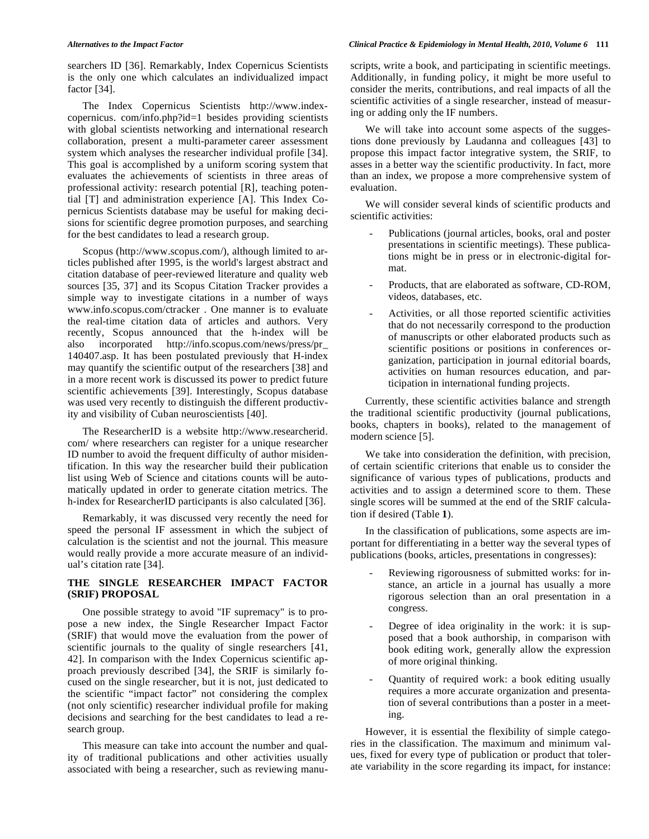searchers ID [36]. Remarkably, Index Copernicus Scientists is the only one which calculates an individualized impact factor [34].

The Index Copernicus Scientists http://www.indexcopernicus. com/info.php?id=1 besides providing scientists with global scientists networking and international research collaboration, present a multi-parameter career assessment system which analyses the researcher individual profile [34]. This goal is accomplished by a uniform scoring system that evaluates the achievements of scientists in three areas of professional activity: research potential [R], teaching potential [T] and administration experience [A]. This Index Copernicus Scientists database may be useful for making decisions for scientific degree promotion purposes, and searching for the best candidates to lead a research group.

Scopus (http://www.scopus.com/), although limited to articles published after 1995, is the world's largest abstract and citation database of peer-reviewed literature and quality web sources [35, 37] and its Scopus Citation Tracker provides a simple way to investigate citations in a number of ways www.info.scopus.com/ctracker . One manner is to evaluate the real-time citation data of articles and authors. Very recently, Scopus announced that the h-index will be also incorporated http://info.scopus.com/news/press/pr\_ 140407.asp. It has been postulated previously that H-index may quantify the scientific output of the researchers [38] and in a more recent work is discussed its power to predict future scientific achievements [39]. Interestingly, Scopus database was used very recently to distinguish the different productivity and visibility of Cuban neuroscientists [40].

The ResearcherID is a website http://www.researcherid. com/ where researchers can register for a unique researcher ID number to avoid the frequent difficulty of author misidentification. In this way the researcher build their publication list using Web of Science and citations counts will be automatically updated in order to generate citation metrics. The h-index for ResearcherID participants is also calculated [36].

Remarkably, it was discussed very recently the need for speed the personal IF assessment in which the subject of calculation is the scientist and not the journal. This measure would really provide a more accurate measure of an individual's citation rate [34].

## **THE SINGLE RESEARCHER IMPACT FACTOR (SRIF) PROPOSAL**

One possible strategy to avoid "IF supremacy" is to propose a new index, the Single Researcher Impact Factor (SRIF) that would move the evaluation from the power of scientific journals to the quality of single researchers [41, 42]. In comparison with the Index Copernicus scientific approach previously described [34], the SRIF is similarly focused on the single researcher, but it is not, just dedicated to the scientific "impact factor" not considering the complex (not only scientific) researcher individual profile for making decisions and searching for the best candidates to lead a research group.

This measure can take into account the number and quality of traditional publications and other activities usually associated with being a researcher, such as reviewing manu-

## *Alternatives to the Impact Factor Clinical Practice & Epidemiology in Mental Health, 2010, Volume 6* **111**

scripts, write a book, and participating in scientific meetings. Additionally, in funding policy, it might be more useful to consider the merits, contributions, and real impacts of all the scientific activities of a single researcher, instead of measuring or adding only the IF numbers.

We will take into account some aspects of the suggestions done previously by Laudanna and colleagues [43] to propose this impact factor integrative system, the SRIF, to asses in a better way the scientific productivity. In fact, more than an index, we propose a more comprehensive system of evaluation.

We will consider several kinds of scientific products and scientific activities:

- Publications (journal articles, books, oral and poster presentations in scientific meetings). These publications might be in press or in electronic-digital format.
- Products, that are elaborated as software, CD-ROM, videos, databases, etc.
- Activities, or all those reported scientific activities that do not necessarily correspond to the production of manuscripts or other elaborated products such as scientific positions or positions in conferences organization, participation in journal editorial boards, activities on human resources education, and participation in international funding projects.

Currently, these scientific activities balance and strength the traditional scientific productivity (journal publications, books, chapters in books), related to the management of modern science [5].

We take into consideration the definition, with precision, of certain scientific criterions that enable us to consider the significance of various types of publications, products and activities and to assign a determined score to them. These single scores will be summed at the end of the SRIF calculation if desired (Table **1**).

In the classification of publications, some aspects are important for differentiating in a better way the several types of publications (books, articles, presentations in congresses):

- Reviewing rigorousness of submitted works: for instance, an article in a journal has usually a more rigorous selection than an oral presentation in a congress.
- Degree of idea originality in the work: it is supposed that a book authorship, in comparison with book editing work, generally allow the expression of more original thinking.
- Quantity of required work: a book editing usually requires a more accurate organization and presentation of several contributions than a poster in a meeting.

However, it is essential the flexibility of simple categories in the classification. The maximum and minimum values, fixed for every type of publication or product that tolerate variability in the score regarding its impact, for instance: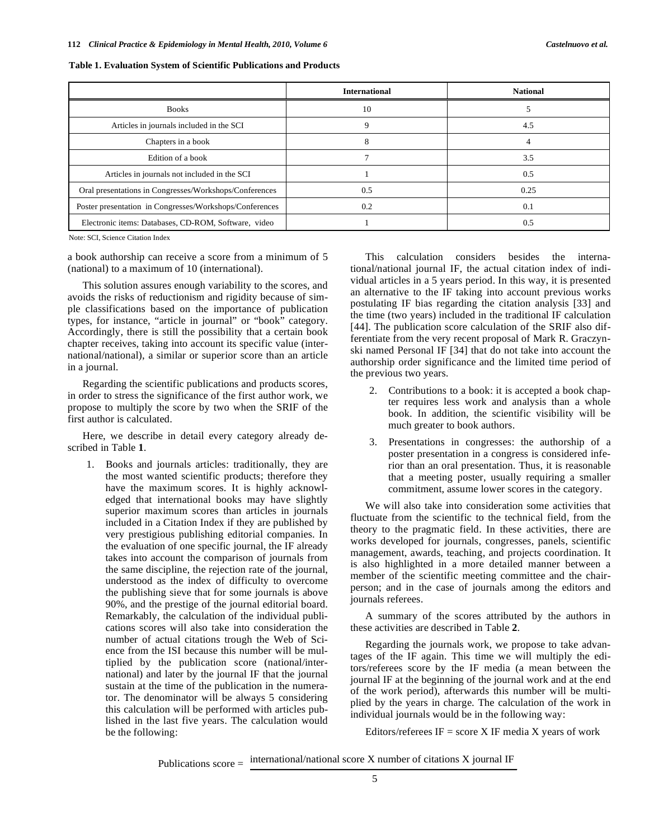| Table 1. Evaluation System of Scientific Publications and Products |  |
|--------------------------------------------------------------------|--|
|                                                                    |  |

|                                                         | <b>International</b> | <b>National</b> |
|---------------------------------------------------------|----------------------|-----------------|
| <b>Books</b>                                            | 10                   |                 |
| Articles in journals included in the SCI                | 9                    | 4.5             |
| Chapters in a book                                      | 8                    |                 |
| Edition of a book                                       |                      | 3.5             |
| Articles in journals not included in the SCI            |                      | 0.5             |
| Oral presentations in Congresses/Workshops/Conferences  | 0.5                  | 0.25            |
| Poster presentation in Congresses/Workshops/Conferences | 0.2                  | 0.1             |
| Electronic items: Databases, CD-ROM, Software, video    |                      | 0.5             |

Note: SCI, Science Citation Index

a book authorship can receive a score from a minimum of 5 (national) to a maximum of 10 (international).

This solution assures enough variability to the scores, and avoids the risks of reductionism and rigidity because of simple classifications based on the importance of publication types, for instance, "article in journal" or "book" category. Accordingly, there is still the possibility that a certain book chapter receives, taking into account its specific value (international/national), a similar or superior score than an article in a journal.

Regarding the scientific publications and products scores, in order to stress the significance of the first author work, we propose to multiply the score by two when the SRIF of the first author is calculated.

Here, we describe in detail every category already described in Table **1**.

1. Books and journals articles: traditionally, they are the most wanted scientific products; therefore they have the maximum scores. It is highly acknowledged that international books may have slightly superior maximum scores than articles in journals included in a Citation Index if they are published by very prestigious publishing editorial companies. In the evaluation of one specific journal, the IF already takes into account the comparison of journals from the same discipline, the rejection rate of the journal, understood as the index of difficulty to overcome the publishing sieve that for some journals is above 90%, and the prestige of the journal editorial board. Remarkably, the calculation of the individual publications scores will also take into consideration the number of actual citations trough the Web of Science from the ISI because this number will be multiplied by the publication score (national/international) and later by the journal IF that the journal sustain at the time of the publication in the numerator. The denominator will be always 5 considering this calculation will be performed with articles published in the last five years. The calculation would be the following:

This calculation considers besides the international/national journal IF, the actual citation index of individual articles in a 5 years period. In this way, it is presented an alternative to the IF taking into account previous works postulating IF bias regarding the citation analysis [33] and the time (two years) included in the traditional IF calculation [44]. The publication score calculation of the SRIF also differentiate from the very recent proposal of Mark R. Graczynski named Personal IF [34] that do not take into account the authorship order significance and the limited time period of the previous two years.

- 2. Contributions to a book: it is accepted a book chapter requires less work and analysis than a whole book. In addition, the scientific visibility will be much greater to book authors.
- 3. Presentations in congresses: the authorship of a poster presentation in a congress is considered inferior than an oral presentation. Thus, it is reasonable that a meeting poster, usually requiring a smaller commitment, assume lower scores in the category.

We will also take into consideration some activities that fluctuate from the scientific to the technical field, from the theory to the pragmatic field. In these activities, there are works developed for journals, congresses, panels, scientific management, awards, teaching, and projects coordination. It is also highlighted in a more detailed manner between a member of the scientific meeting committee and the chairperson; and in the case of journals among the editors and journals referees.

A summary of the scores attributed by the authors in these activities are described in Table **2**.

Regarding the journals work, we propose to take advantages of the IF again. This time we will multiply the editors/referees score by the IF media (a mean between the journal IF at the beginning of the journal work and at the end of the work period), afterwards this number will be multiplied by the years in charge. The calculation of the work in individual journals would be in the following way:

Editors/referees  $IF = score X IF media X years of work$ 

Publications  $score =$  international/national score X number of citations X journal IF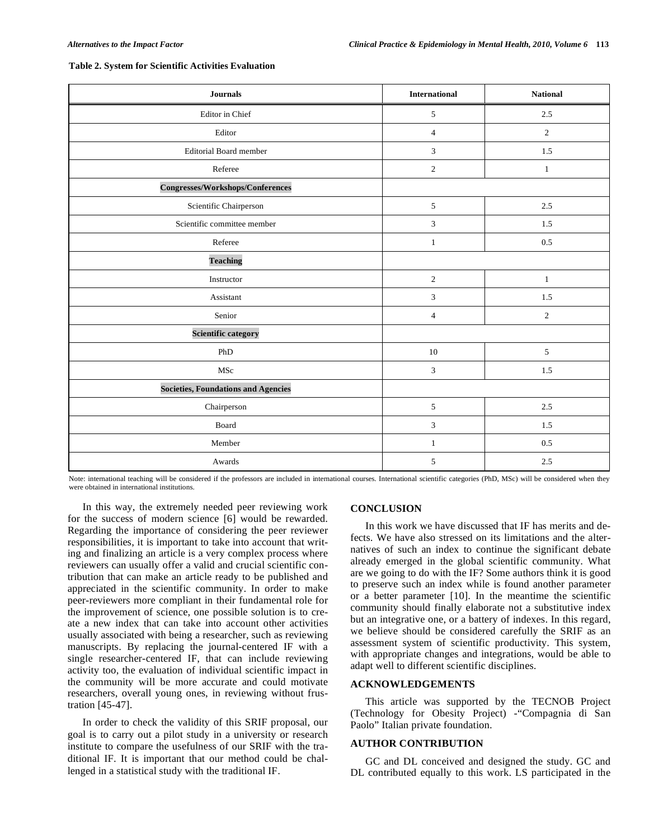| <b>Journals</b>                            | <b>International</b>        | <b>National</b> |
|--------------------------------------------|-----------------------------|-----------------|
| Editor in Chief                            | $\sqrt{5}$                  | $2.5\,$         |
| Editor                                     | $\overline{4}$              | $\overline{2}$  |
| <b>Editorial Board member</b>              | $\overline{3}$              | 1.5             |
| Referee                                    | $\overline{2}$              | $\mathbf{1}$    |
| Congresses/Workshops/Conferences           |                             |                 |
| Scientific Chairperson                     | 5                           | 2.5             |
| Scientific committee member                | $\mathfrak{Z}$              | 1.5             |
| Referee                                    | $\mathbf{1}$                | 0.5             |
| <b>Teaching</b>                            |                             |                 |
| Instructor                                 | $\sqrt{2}$                  | $\mathbf{1}$    |
| Assistant                                  | $\ensuremath{\mathfrak{Z}}$ | 1.5             |
| Senior                                     | $\overline{4}$              | 2               |
| <b>Scientific category</b>                 |                             |                 |
| ${\tt PhD}$                                | 10                          | $\sqrt{5}$      |
| MSc                                        | $\mathfrak{Z}$              | 1.5             |
| <b>Societies, Foundations and Agencies</b> |                             |                 |
| Chairperson                                | $5\,$                       | $2.5\,$         |
| Board                                      | 3                           | 1.5             |
| Member                                     | $\mathbf{1}$                | 0.5             |
| Awards                                     | 5                           | 2.5             |

#### **Table 2. System for Scientific Activities Evaluation**

Note: international teaching will be considered if the professors are included in international courses. International scientific categories (PhD, MSc) will be considered when they were obtained in international institutions.

In this way, the extremely needed peer reviewing work for the success of modern science [6] would be rewarded. Regarding the importance of considering the peer reviewer responsibilities, it is important to take into account that writing and finalizing an article is a very complex process where reviewers can usually offer a valid and crucial scientific contribution that can make an article ready to be published and appreciated in the scientific community. In order to make peer-reviewers more compliant in their fundamental role for the improvement of science, one possible solution is to create a new index that can take into account other activities usually associated with being a researcher, such as reviewing manuscripts. By replacing the journal-centered IF with a single researcher-centered IF, that can include reviewing activity too, the evaluation of individual scientific impact in the community will be more accurate and could motivate researchers, overall young ones, in reviewing without frustration [45-47].

In order to check the validity of this SRIF proposal, our goal is to carry out a pilot study in a university or research institute to compare the usefulness of our SRIF with the traditional IF. It is important that our method could be challenged in a statistical study with the traditional IF.

## **CONCLUSION**

In this work we have discussed that IF has merits and defects. We have also stressed on its limitations and the alternatives of such an index to continue the significant debate already emerged in the global scientific community. What are we going to do with the IF? Some authors think it is good to preserve such an index while is found another parameter or a better parameter [10]. In the meantime the scientific community should finally elaborate not a substitutive index but an integrative one, or a battery of indexes. In this regard, we believe should be considered carefully the SRIF as an assessment system of scientific productivity. This system, with appropriate changes and integrations, would be able to adapt well to different scientific disciplines.

### **ACKNOWLEDGEMENTS**

This article was supported by the TECNOB Project (Technology for Obesity Project) -"Compagnia di San Paolo" Italian private foundation.

#### **AUTHOR CONTRIBUTION**

GC and DL conceived and designed the study. GC and DL contributed equally to this work. LS participated in the